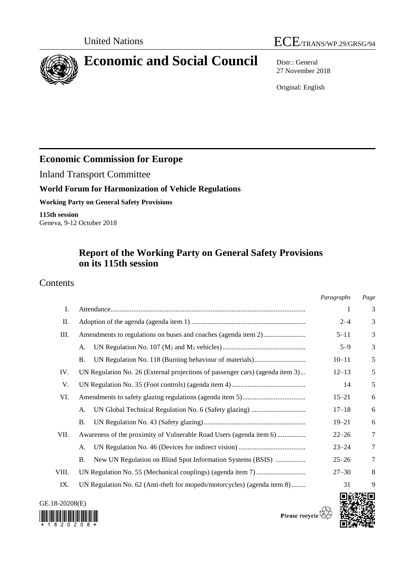

# **Economic and Social Council** Distr.: General

27 November 2018

Original: English

## **Economic Commission for Europe**

Inland Transport Committee

### **World Forum for Harmonization of Vehicle Regulations**

**Working Party on General Safety Provisions**

**115th session** Geneva, 9-12 October 2018

## **Report of the Working Party on General Safety Provisions on its 115th session**

### Contents

|       |                                                                               | Paragraphs | Page |  |  |
|-------|-------------------------------------------------------------------------------|------------|------|--|--|
| Ι.    |                                                                               | 1          | 3    |  |  |
| П.    |                                                                               | $2 - 4$    | 3    |  |  |
| Ш.    | Amendments to regulations on buses and coaches (agenda item 2)                | $5 - 11$   | 3    |  |  |
|       | А.                                                                            | $5 - 9$    | 3    |  |  |
|       | Β.                                                                            | $10 - 11$  | 5    |  |  |
| IV.   | UN Regulation No. 26 (External projections of passenger cars) (agenda item 3) | $12 - 13$  | 5    |  |  |
| V.    | 14                                                                            |            |      |  |  |
| VI.   |                                                                               | $15 - 21$  | 6    |  |  |
|       | А.                                                                            | $17 - 18$  | 6    |  |  |
|       | В.                                                                            | $19 - 21$  | 6    |  |  |
| VII.  | Awareness of the proximity of Vulnerable Road Users (agenda item 6)           | $22 - 26$  | 7    |  |  |
|       | А.                                                                            | $23 - 24$  | 7    |  |  |
|       | New UN Regulation on Blind Spot Information Systems (BSIS)<br>Β.              | $25 - 26$  | 7    |  |  |
| VIII. |                                                                               | $27 - 30$  | 8    |  |  |
| IX.   | UN Regulation No. 62 (Anti-theft for mopeds/motorcycles) (agenda item 8)      | 31         | 9    |  |  |
|       |                                                                               |            |      |  |  |

GE.18-20208(E)



Please recycle  $\overline{\mathbb{Q}}$ 

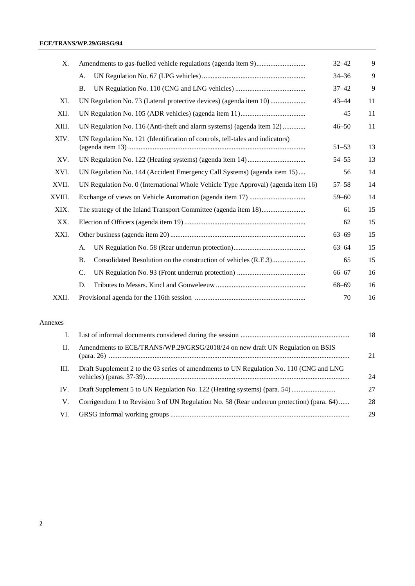#### **ECE/TRANS/WP.29/GRSG/94**

| X.     |                                                                                  |           | 9  |  |
|--------|----------------------------------------------------------------------------------|-----------|----|--|
|        | А.                                                                               | $34 - 36$ | 9  |  |
|        | Β.                                                                               | $37 - 42$ | 9  |  |
| XI.    |                                                                                  | $43 - 44$ | 11 |  |
| XII.   |                                                                                  | 45        | 11 |  |
| XIII.  | UN Regulation No. 116 (Anti-theft and alarm systems) (agenda item 12)            | $46 - 50$ | 11 |  |
| XIV.   | UN Regulation No. 121 (Identification of controls, tell-tales and indicators)    | $51 - 53$ | 13 |  |
| XV.    |                                                                                  | $54 - 55$ | 13 |  |
| XVI.   | UN Regulation No. 144 (Accident Emergency Call Systems) (agenda item 15)         | 56        | 14 |  |
| XVII.  | UN Regulation No. 0 (International Whole Vehicle Type Approval) (agenda item 16) | $57 - 58$ | 14 |  |
| XVIII. | $59 - 60$                                                                        |           |    |  |
| XIX.   | 61                                                                               |           |    |  |
| XX.    |                                                                                  | 62        | 15 |  |
| XXI.   |                                                                                  | $63 - 69$ | 15 |  |
|        | А.                                                                               | $63 - 64$ | 15 |  |
|        | Consolidated Resolution on the construction of vehicles (R.E.3)<br><b>B.</b>     | 65        | 15 |  |
|        | C.                                                                               | $66 - 67$ | 16 |  |
|        | D.                                                                               | $68 - 69$ | 16 |  |
| XXII.  |                                                                                  | 70        | 16 |  |

#### Annexes

|      |                                                                                           | 18 |
|------|-------------------------------------------------------------------------------------------|----|
| П.   | Amendments to ECE/TRANS/WP.29/GRSG/2018/24 on new draft UN Regulation on BSIS             |    |
| III. | Draft Supplement 2 to the 03 series of amendments to UN Regulation No. 110 (CNG and LNG   | 24 |
| IV.  | Draft Supplement 5 to UN Regulation No. 122 (Heating systems) (para. 54)                  | 27 |
| V.   | Corrigendum 1 to Revision 3 of UN Regulation No. 58 (Rear underrun protection) (para. 64) | 28 |
| VI.  |                                                                                           | 29 |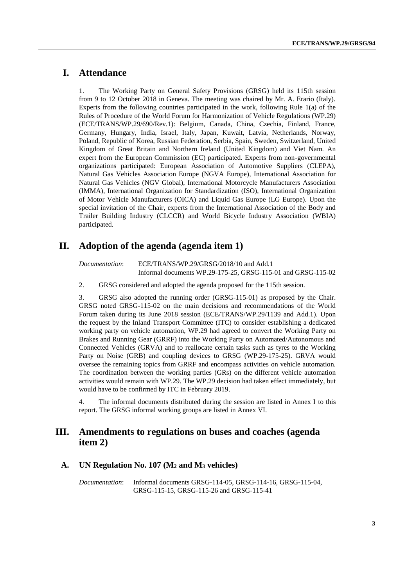### **I. Attendance**

1. The Working Party on General Safety Provisions (GRSG) held its 115th session from 9 to 12 October 2018 in Geneva. The meeting was chaired by Mr. A. Erario (Italy). Experts from the following countries participated in the work, following Rule 1(a) of the Rules of Procedure of the World Forum for Harmonization of Vehicle Regulations (WP.29) (ECE/TRANS/WP.29/690/Rev.1): Belgium, Canada, China, Czechia, Finland, France, Germany, Hungary, India, Israel, Italy, Japan, Kuwait, Latvia, Netherlands, Norway, Poland, Republic of Korea, Russian Federation, Serbia, Spain, Sweden, Switzerland, United Kingdom of Great Britain and Northern Ireland (United Kingdom) and Viet Nam. An expert from the European Commission (EC) participated. Experts from non-governmental organizations participated: European Association of Automotive Suppliers (CLEPA), Natural Gas Vehicles Association Europe (NGVA Europe), International Association for Natural Gas Vehicles (NGV Global), International Motorcycle Manufacturers Association (IMMA), International Organization for Standardization (ISO), International Organization of Motor Vehicle Manufacturers (OICA) and Liquid Gas Europe (LG Europe). Upon the special invitation of the Chair, experts from the International Association of the Body and Trailer Building Industry (CLCCR) and World Bicycle Industry Association (WBIA) participated.

### **II. Adoption of the agenda (agenda item 1)**

*Documentation*: ECE/TRANS/WP.29/GRSG/2018/10 and Add.1 Informal documents WP.29-175-25, GRSG-115-01 and GRSG-115-02

2. GRSG considered and adopted the agenda proposed for the 115th session.

3. GRSG also adopted the running order (GRSG-115-01) as proposed by the Chair. GRSG noted GRSG-115-02 on the main decisions and recommendations of the World Forum taken during its June 2018 session (ECE/TRANS/WP.29/1139 and Add.1). Upon the request by the Inland Transport Committee (ITC) to consider establishing a dedicated working party on vehicle automation, WP.29 had agreed to convert the Working Party on Brakes and Running Gear (GRRF) into the Working Party on Automated/Autonomous and Connected Vehicles (GRVA) and to reallocate certain tasks such as tyres to the Working Party on Noise (GRB) and coupling devices to GRSG (WP.29-175-25). GRVA would oversee the remaining topics from GRRF and encompass activities on vehicle automation. The coordination between the working parties (GRs) on the different vehicle automation activities would remain with WP.29. The WP.29 decision had taken effect immediately, but would have to be confirmed by ITC in February 2019.

4. The informal documents distributed during the session are listed in Annex I to this report. The GRSG informal working groups are listed in Annex VI.

### **III. Amendments to regulations on buses and coaches (agenda item 2)**

#### **A. UN Regulation No. 107 (M<sup>2</sup> and M<sup>3</sup> vehicles)**

*Documentation*: Informal documents GRSG-114-05, GRSG-114-16, GRSG-115-04, GRSG-115-15, GRSG-115-26 and GRSG-115-41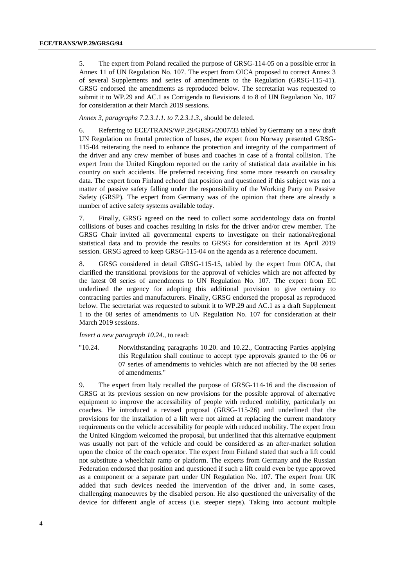5. The expert from Poland recalled the purpose of GRSG-114-05 on a possible error in Annex 11 of UN Regulation No. 107. The expert from OICA proposed to correct Annex 3 of several Supplements and series of amendments to the Regulation (GRSG-115-41). GRSG endorsed the amendments as reproduced below. The secretariat was requested to submit it to WP.29 and AC.1 as Corrigenda to Revisions 4 to 8 of UN Regulation No. 107 for consideration at their March 2019 sessions.

*Annex 3, paragraphs 7.2.3.1.1. to 7.2.3.1.3.,* should be deleted.

6. Referring to ECE/TRANS/WP.29/GRSG/2007/33 tabled by Germany on a new draft UN Regulation on frontal protection of buses, the expert from Norway presented GRSG-115-04 reiterating the need to enhance the protection and integrity of the compartment of the driver and any crew member of buses and coaches in case of a frontal collision. The expert from the United Kingdom reported on the rarity of statistical data available in his country on such accidents. He preferred receiving first some more research on causality data. The expert from Finland echoed that position and questioned if this subject was not a matter of passive safety falling under the responsibility of the Working Party on Passive Safety (GRSP). The expert from Germany was of the opinion that there are already a number of active safety systems available today.

7. Finally, GRSG agreed on the need to collect some accidentology data on frontal collisions of buses and coaches resulting in risks for the driver and/or crew member. The GRSG Chair invited all governmental experts to investigate on their national/regional statistical data and to provide the results to GRSG for consideration at its April 2019 session. GRSG agreed to keep GRSG-115-04 on the agenda as a reference document.

8. GRSG considered in detail GRSG-115-15, tabled by the expert from OICA, that clarified the transitional provisions for the approval of vehicles which are not affected by the latest 08 series of amendments to UN Regulation No. 107. The expert from EC underlined the urgency for adopting this additional provision to give certainty to contracting parties and manufacturers. Finally, GRSG endorsed the proposal as reproduced below. The secretariat was requested to submit it to WP.29 and AC.1 as a draft Supplement 1 to the 08 series of amendments to UN Regulation No. 107 for consideration at their March 2019 sessions.

#### *Insert a new paragraph 10.24.*, to read:

"10.24. Notwithstanding paragraphs 10.20. and 10.22., Contracting Parties applying this Regulation shall continue to accept type approvals granted to the 06 or 07 series of amendments to vehicles which are not affected by the 08 series of amendments."

9. The expert from Italy recalled the purpose of GRSG-114-16 and the discussion of GRSG at its previous session on new provisions for the possible approval of alternative equipment to improve the accessibility of people with reduced mobility, particularly on coaches. He introduced a revised proposal (GRSG-115-26) and underlined that the provisions for the installation of a lift were not aimed at replacing the current mandatory requirements on the vehicle accessibility for people with reduced mobility. The expert from the United Kingdom welcomed the proposal, but underlined that this alternative equipment was usually not part of the vehicle and could be considered as an after-market solution upon the choice of the coach operator. The expert from Finland stated that such a lift could not substitute a wheelchair ramp or platform. The experts from Germany and the Russian Federation endorsed that position and questioned if such a lift could even be type approved as a component or a separate part under UN Regulation No. 107. The expert from UK added that such devices needed the intervention of the driver and, in some cases, challenging manoeuvres by the disabled person. He also questioned the universality of the device for different angle of access (i.e. steeper steps). Taking into account multiple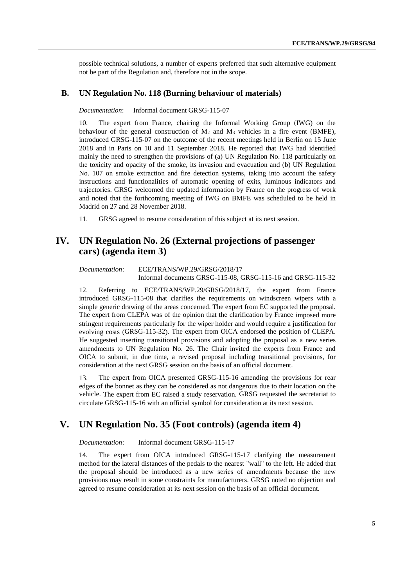possible technical solutions, a number of experts preferred that such alternative equipment not be part of the Regulation and, therefore not in the scope.

#### **B. UN Regulation No. 118 (Burning behaviour of materials)**

*Documentation*: Informal document GRSG-115-07

10. The expert from France, chairing the Informal Working Group (IWG) on the behaviour of the general construction of  $M_2$  and  $M_3$  vehicles in a fire event (BMFE), introduced GRSG-115-07 on the outcome of the recent meetings held in Berlin on 15 June 2018 and in Paris on 10 and 11 September 2018. He reported that IWG had identified mainly the need to strengthen the provisions of (a) UN Regulation No. 118 particularly on the toxicity and opacity of the smoke, its invasion and evacuation and (b) UN Regulation No. 107 on smoke extraction and fire detection systems, taking into account the safety instructions and functionalities of automatic opening of exits, luminous indicators and trajectories. GRSG welcomed the updated information by France on the progress of work and noted that the forthcoming meeting of IWG on BMFE was scheduled to be held in Madrid on 27 and 28 November 2018.

11. GRSG agreed to resume consideration of this subject at its next session.

### **IV. UN Regulation No. 26 (External projections of passenger cars) (agenda item 3)**

*Documentation*: ECE/TRANS/WP.29/GRSG/2018/17 Informal documents GRSG-115-08, GRSG-115-16 and GRSG-115-32

12. Referring to ECE/TRANS/WP.29/GRSG/2018/17, the expert from France introduced GRSG-115-08 that clarifies the requirements on windscreen wipers with a simple generic drawing of the areas concerned. The expert from EC supported the proposal. The expert from CLEPA was of the opinion that the clarification by France imposed more stringent requirements particularly for the wiper holder and would require a justification for evolving costs (GRSG-115-32). The expert from OICA endorsed the position of CLEPA. He suggested inserting transitional provisions and adopting the proposal as a new series amendments to UN Regulation No. 26. The Chair invited the experts from France and OICA to submit, in due time, a revised proposal including transitional provisions, for consideration at the next GRSG session on the basis of an official document.

13. The expert from OICA presented GRSG-115-16 amending the provisions for rear edges of the bonnet as they can be considered as not dangerous due to their location on the vehicle. The expert from EC raised a study reservation. GRSG requested the secretariat to circulate GRSG-115-16 with an official symbol for consideration at its next session.

### **V. UN Regulation No. 35 (Foot controls) (agenda item 4)**

*Documentation*: Informal document GRSG-115-17

14. The expert from OICA introduced GRSG-115-17 clarifying the measurement method for the lateral distances of the pedals to the nearest "wall" to the left. He added that the proposal should be introduced as a new series of amendments because the new provisions may result in some constraints for manufacturers. GRSG noted no objection and agreed to resume consideration at its next session on the basis of an official document.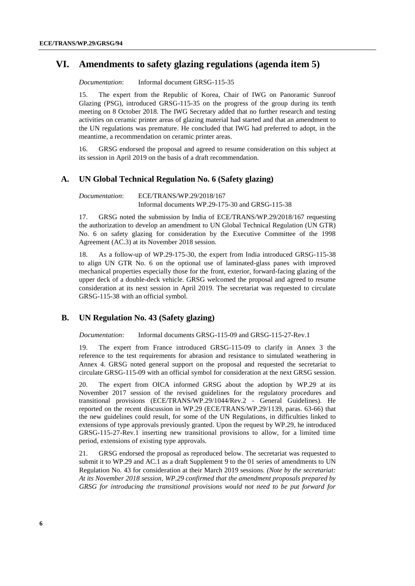### **VI. Amendments to safety glazing regulations (agenda item 5)**

*Documentation*: Informal document GRSG-115-35

15. The expert from the Republic of Korea, Chair of IWG on Panoramic Sunroof Glazing (PSG), introduced GRSG-115-35 on the progress of the group during its tenth meeting on 8 October 2018. The IWG Secretary added that no further research and testing activities on ceramic printer areas of glazing material had started and that an amendment to the UN regulations was premature. He concluded that IWG had preferred to adopt, in the meantime, a recommendation on ceramic printer areas.

16. GRSG endorsed the proposal and agreed to resume consideration on this subject at its session in April 2019 on the basis of a draft recommendation.

#### **A. UN Global Technical Regulation No. 6 (Safety glazing)**

*Documentation*: ECE/TRANS/WP.29/2018/167 Informal documents WP.29-175-30 and GRSG-115-38

17. GRSG noted the submission by India of ECE/TRANS/WP.29/2018/167 requesting the authorization to develop an amendment to UN Global Technical Regulation (UN GTR) No. 6 on safety glazing for consideration by the Executive Committee of the 1998 Agreement (AC.3) at its November 2018 session.

18. As a follow-up of WP.29-175-30, the expert from India introduced GRSG-115-38 to align UN GTR No. 6 on the optional use of laminated-glass panes with improved mechanical properties especially those for the front, exterior, forward-facing glazing of the upper deck of a double-deck vehicle. GRSG welcomed the proposal and agreed to resume consideration at its next session in April 2019. The secretariat was requested to circulate GRSG-115-38 with an official symbol.

#### **B. UN Regulation No. 43 (Safety glazing)**

*Documentation*: Informal documents GRSG-115-09 and GRSG-115-27-Rev.1

19. The expert from France introduced GRSG-115-09 to clarify in Annex 3 the reference to the test requirements for abrasion and resistance to simulated weathering in Annex 4. GRSG noted general support on the proposal and requested the secretariat to circulate GRSG-115-09 with an official symbol for consideration at the next GRSG session.

20. The expert from OICA informed GRSG about the adoption by WP.29 at its November 2017 session of the revised guidelines for the regulatory procedures and transitional provisions (ECE/TRANS/WP.29/1044/Rev.2 - General Guidelines). He reported on the recent discussion in WP.29 (ECE/TRANS/WP.29/1139, paras. 63-66) that the new guidelines could result, for some of the UN Regulations, in difficulties linked to extensions of type approvals previously granted. Upon the request by WP.29, he introduced GRSG-115-27-Rev.1 inserting new transitional provisions to allow, for a limited time period, extensions of existing type approvals.

21. GRSG endorsed the proposal as reproduced below. The secretariat was requested to submit it to WP.29 and AC.1 as a draft Supplement 9 to the 01 series of amendments to UN Regulation No. 43 for consideration at their March 2019 sessions. *(Note by the secretariat: At its November 2018 session, WP.29 confirmed that the amendment proposals prepared by GRSG for introducing the transitional provisions would not need to be put forward for*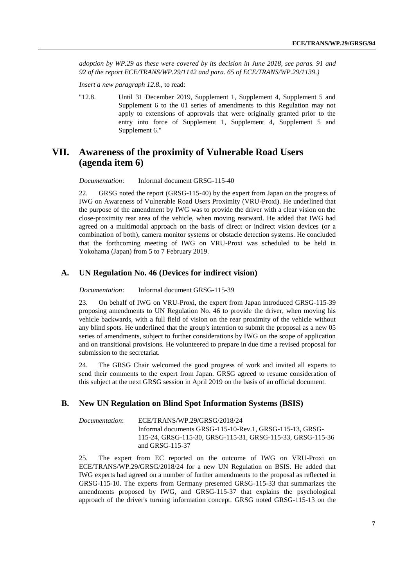*adoption by WP.29 as these were covered by its decision in June 2018, see paras. 91 and 92 of the report ECE/TRANS/WP.29/1142 and para. 65 of ECE/TRANS/WP.29/1139.)*

*Insert a new paragraph 12.8.*, to read:

"12.8. Until 31 December 2019, Supplement 1, Supplement 4, Supplement 5 and Supplement 6 to the 01 series of amendments to this Regulation may not apply to extensions of approvals that were originally granted prior to the entry into force of Supplement 1, Supplement 4, Supplement 5 and Supplement 6."

### **VII. Awareness of the proximity of Vulnerable Road Users (agenda item 6)**

*Documentation*: Informal document GRSG-115-40

22. GRSG noted the report (GRSG-115-40) by the expert from Japan on the progress of IWG on Awareness of Vulnerable Road Users Proximity (VRU-Proxi). He underlined that the purpose of the amendment by IWG was to provide the driver with a clear vision on the close-proximity rear area of the vehicle, when moving rearward. He added that IWG had agreed on a multimodal approach on the basis of direct or indirect vision devices (or a combination of both), camera monitor systems or obstacle detection systems. He concluded that the forthcoming meeting of IWG on VRU-Proxi was scheduled to be held in Yokohama (Japan) from 5 to 7 February 2019.

#### **A. UN Regulation No. 46 (Devices for indirect vision)**

#### *Documentation*: Informal document GRSG-115-39

23. On behalf of IWG on VRU-Proxi, the expert from Japan introduced GRSG-115-39 proposing amendments to UN Regulation No. 46 to provide the driver, when moving his vehicle backwards, with a full field of vision on the rear proximity of the vehicle without any blind spots. He underlined that the group's intention to submit the proposal as a new 05 series of amendments, subject to further considerations by IWG on the scope of application and on transitional provisions. He volunteered to prepare in due time a revised proposal for submission to the secretariat.

24. The GRSG Chair welcomed the good progress of work and invited all experts to send their comments to the expert from Japan. GRSG agreed to resume consideration of this subject at the next GRSG session in April 2019 on the basis of an official document.

#### **B. New UN Regulation on Blind Spot Information Systems (BSIS)**

| Documentation: | ECE/TRANS/WP.29/GRSG/2018/24                               |
|----------------|------------------------------------------------------------|
|                | Informal documents GRSG-115-10-Rev.1, GRSG-115-13, GRSG-   |
|                | 115-24, GRSG-115-30, GRSG-115-31, GRSG-115-33, GRSG-115-36 |
|                | and GRSG-115-37                                            |

25. The expert from EC reported on the outcome of IWG on VRU-Proxi on ECE/TRANS/WP.29/GRSG/2018/24 for a new UN Regulation on BSIS. He added that IWG experts had agreed on a number of further amendments to the proposal as reflected in GRSG-115-10. The experts from Germany presented GRSG-115-33 that summarizes the amendments proposed by IWG, and GRSG-115-37 that explains the psychological approach of the driver's turning information concept. GRSG noted GRSG-115-13 on the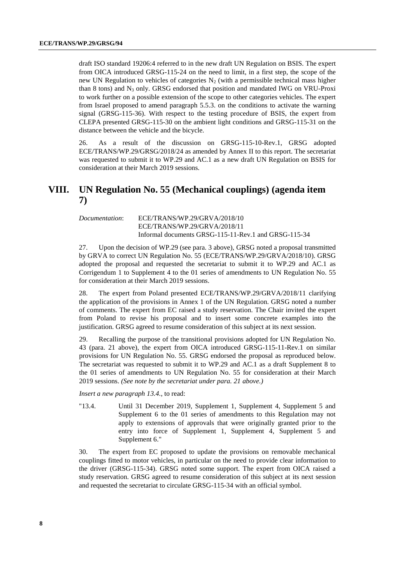draft ISO standard 19206:4 referred to in the new draft UN Regulation on BSIS. The expert from OICA introduced GRSG-115-24 on the need to limit, in a first step, the scope of the new UN Regulation to vehicles of categories  $N_2$  (with a permissible technical mass higher than 8 tons) and N<sup>3</sup> only. GRSG endorsed that position and mandated IWG on VRU-Proxi to work further on a possible extension of the scope to other categories vehicles. The expert from Israel proposed to amend paragraph 5.5.3. on the conditions to activate the warning signal (GRSG-115-36). With respect to the testing procedure of BSIS, the expert from CLEPA presented GRSG-115-30 on the ambient light conditions and GRSG-115-31 on the distance between the vehicle and the bicycle.

26. As a result of the discussion on GRSG-115-10-Rev.1, GRSG adopted ECE/TRANS/WP.29/GRSG/2018/24 as amended by Annex II to this report. The secretariat was requested to submit it to WP.29 and AC.1 as a new draft UN Regulation on BSIS for consideration at their March 2019 sessions.

### **VIII. UN Regulation No. 55 (Mechanical couplings) (agenda item 7)**

#### *Documentation*: ECE/TRANS/WP.29/GRVA/2018/10 ECE/TRANS/WP.29/GRVA/2018/11 Informal documents GRSG-115-11-Rev.1 and GRSG-115-34

27. Upon the decision of WP.29 (see para. 3 above), GRSG noted a proposal transmitted by GRVA to correct UN Regulation No. 55 (ECE/TRANS/WP.29/GRVA/2018/10). GRSG adopted the proposal and requested the secretariat to submit it to WP.29 and AC.1 as Corrigendum 1 to Supplement 4 to the 01 series of amendments to UN Regulation No. 55 for consideration at their March 2019 sessions.

28. The expert from Poland presented ECE/TRANS/WP.29/GRVA/2018/11 clarifying the application of the provisions in Annex 1 of the UN Regulation. GRSG noted a number of comments. The expert from EC raised a study reservation. The Chair invited the expert from Poland to revise his proposal and to insert some concrete examples into the justification. GRSG agreed to resume consideration of this subject at its next session.

29. Recalling the purpose of the transitional provisions adopted for UN Regulation No. 43 (para. 21 above), the expert from OICA introduced GRSG-115-11-Rev.1 on similar provisions for UN Regulation No. 55. GRSG endorsed the proposal as reproduced below. The secretariat was requested to submit it to WP.29 and AC.1 as a draft Supplement 8 to the 01 series of amendments to UN Regulation No. 55 for consideration at their March 2019 sessions. *(See note by the secretariat under para. 21 above.)*

*Insert a new paragraph 13.4.*, to read:

"13.4. Until 31 December 2019, Supplement 1, Supplement 4, Supplement 5 and Supplement 6 to the 01 series of amendments to this Regulation may not apply to extensions of approvals that were originally granted prior to the entry into force of Supplement 1, Supplement 4, Supplement 5 and Supplement 6."

30. The expert from EC proposed to update the provisions on removable mechanical couplings fitted to motor vehicles, in particular on the need to provide clear information to the driver (GRSG-115-34). GRSG noted some support. The expert from OICA raised a study reservation. GRSG agreed to resume consideration of this subject at its next session and requested the secretariat to circulate GRSG-115-34 with an official symbol.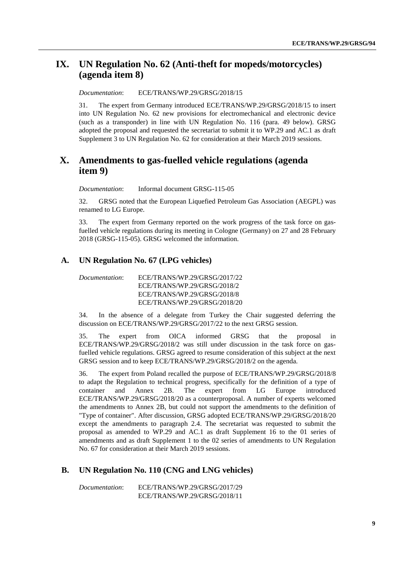### **IX. UN Regulation No. 62 (Anti-theft for mopeds/motorcycles) (agenda item 8)**

*Documentation*: ECE/TRANS/WP.29/GRSG/2018/15

31. The expert from Germany introduced ECE/TRANS/WP.29/GRSG/2018/15 to insert into UN Regulation No. 62 new provisions for electromechanical and electronic device (such as a transponder) in line with UN Regulation No. 116 (para. 49 below). GRSG adopted the proposal and requested the secretariat to submit it to WP.29 and AC.1 as draft Supplement 3 to UN Regulation No. 62 for consideration at their March 2019 sessions.

### **X. Amendments to gas-fuelled vehicle regulations (agenda item 9)**

*Documentation*: Informal document GRSG-115-05

32. GRSG noted that the European Liquefied Petroleum Gas Association (AEGPL) was renamed to LG Europe.

33. The expert from Germany reported on the work progress of the task force on gasfuelled vehicle regulations during its meeting in Cologne (Germany) on 27 and 28 February 2018 (GRSG-115-05). GRSG welcomed the information.

#### **A. UN Regulation No. 67 (LPG vehicles)**

*Documentation*: ECE/TRANS/WP.29/GRSG/2017/22 ECE/TRANS/WP.29/GRSG/2018/2 ECE/TRANS/WP.29/GRSG/2018/8 ECE/TRANS/WP.29/GRSG/2018/20

34. In the absence of a delegate from Turkey the Chair suggested deferring the discussion on ECE/TRANS/WP.29/GRSG/2017/22 to the next GRSG session.

35. The expert from OICA informed GRSG that the proposal in ECE/TRANS/WP.29/GRSG/2018/2 was still under discussion in the task force on gasfuelled vehicle regulations. GRSG agreed to resume consideration of this subject at the next GRSG session and to keep ECE/TRANS/WP.29/GRSG/2018/2 on the agenda.

36. The expert from Poland recalled the purpose of ECE/TRANS/WP.29/GRSG/2018/8 to adapt the Regulation to technical progress, specifically for the definition of a type of container and Annex 2B. The expert from LG Europe introduced ECE/TRANS/WP.29/GRSG/2018/20 as a counterproposal. A number of experts welcomed the amendments to Annex 2B, but could not support the amendments to the definition of "Type of container". After discussion, GRSG adopted ECE/TRANS/WP.29/GRSG/2018/20 except the amendments to paragraph 2.4. The secretariat was requested to submit the proposal as amended to WP.29 and AC.1 as draft Supplement 16 to the 01 series of amendments and as draft Supplement 1 to the 02 series of amendments to UN Regulation No. 67 for consideration at their March 2019 sessions.

### **B. UN Regulation No. 110 (CNG and LNG vehicles)**

*Documentation*: ECE/TRANS/WP.29/GRSG/2017/29 ECE/TRANS/WP.29/GRSG/2018/11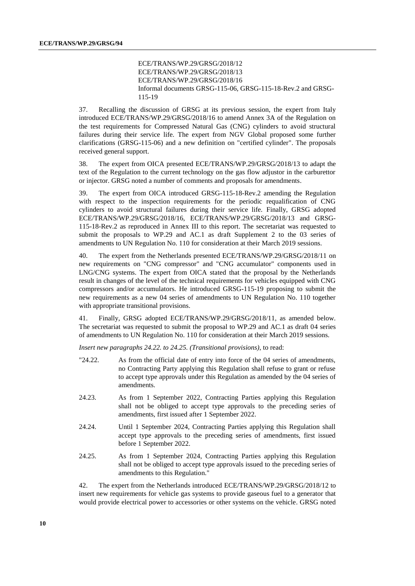#### ECE/TRANS/WP.29/GRSG/2018/12 ECE/TRANS/WP.29/GRSG/2018/13 ECE/TRANS/WP.29/GRSG/2018/16 Informal documents GRSG-115-06, GRSG-115-18-Rev.2 and GRSG-115-19

37. Recalling the discussion of GRSG at its previous session, the expert from Italy introduced ECE/TRANS/WP.29/GRSG/2018/16 to amend Annex 3A of the Regulation on the test requirements for Compressed Natural Gas (CNG) cylinders to avoid structural failures during their service life. The expert from NGV Global proposed some further clarifications (GRSG-115-06) and a new definition on "certified cylinder". The proposals received general support.

38. The expert from OICA presented ECE/TRANS/WP.29/GRSG/2018/13 to adapt the text of the Regulation to the current technology on the gas flow adjustor in the carburettor or injector. GRSG noted a number of comments and proposals for amendments.

39. The expert from OICA introduced GRSG-115-18-Rev.2 amending the Regulation with respect to the inspection requirements for the periodic requalification of CNG cylinders to avoid structural failures during their service life. Finally, GRSG adopted ECE/TRANS/WP.29/GRSG/2018/16, ECE/TRANS/WP.29/GRSG/2018/13 and GRSG-115-18-Rev.2 as reproduced in Annex III to this report. The secretariat was requested to submit the proposals to WP.29 and AC.1 as draft Supplement 2 to the 03 series of amendments to UN Regulation No. 110 for consideration at their March 2019 sessions.

40. The expert from the Netherlands presented ECE/TRANS/WP.29/GRSG/2018/11 on new requirements on "CNG compressor" and "CNG accumulator" components used in LNG/CNG systems. The expert from OICA stated that the proposal by the Netherlands result in changes of the level of the technical requirements for vehicles equipped with CNG compressors and/or accumulators. He introduced GRSG-115-19 proposing to submit the new requirements as a new 04 series of amendments to UN Regulation No. 110 together with appropriate transitional provisions.

41. Finally, GRSG adopted ECE/TRANS/WP.29/GRSG/2018/11, as amended below. The secretariat was requested to submit the proposal to WP.29 and AC.1 as draft 04 series of amendments to UN Regulation No. 110 for consideration at their March 2019 sessions.

*Insert new paragraphs 24.22. to 24.25. (Transitional provisions)*, to read:

- "24.22. As from the official date of entry into force of the 04 series of amendments, no Contracting Party applying this Regulation shall refuse to grant or refuse to accept type approvals under this Regulation as amended by the 04 series of amendments.
- 24.23. As from 1 September 2022, Contracting Parties applying this Regulation shall not be obliged to accept type approvals to the preceding series of amendments, first issued after 1 September 2022.
- 24.24. Until 1 September 2024, Contracting Parties applying this Regulation shall accept type approvals to the preceding series of amendments, first issued before 1 September 2022.
- 24.25. As from 1 September 2024, Contracting Parties applying this Regulation shall not be obliged to accept type approvals issued to the preceding series of amendments to this Regulation."

42. The expert from the Netherlands introduced ECE/TRANS/WP.29/GRSG/2018/12 to insert new requirements for vehicle gas systems to provide gaseous fuel to a generator that would provide electrical power to accessories or other systems on the vehicle. GRSG noted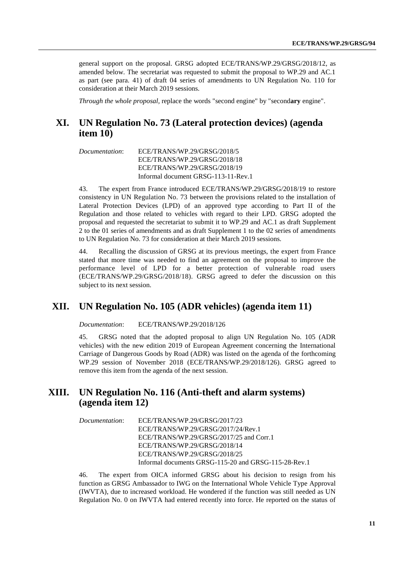general support on the proposal. GRSG adopted ECE/TRANS/WP.29/GRSG/2018/12, as amended below. The secretariat was requested to submit the proposal to WP.29 and AC.1 as part (see para. 41) of draft 04 series of amendments to UN Regulation No. 110 for consideration at their March 2019 sessions.

*Through the whole proposal,* replace the words "second engine" by "secondary engine".

### **XI. UN Regulation No. 73 (Lateral protection devices) (agenda item 10)**

*Documentation*: ECE/TRANS/WP.29/GRSG/2018/5 ECE/TRANS/WP.29/GRSG/2018/18 ECE/TRANS/WP.29/GRSG/2018/19 Informal document GRSG-113-11-Rev.1

43. The expert from France introduced ECE/TRANS/WP.29/GRSG/2018/19 to restore consistency in UN Regulation No. 73 between the provisions related to the installation of Lateral Protection Devices (LPD) of an approved type according to Part II of the Regulation and those related to vehicles with regard to their LPD. GRSG adopted the proposal and requested the secretariat to submit it to WP.29 and AC.1 as draft Supplement 2 to the 01 series of amendments and as draft Supplement 1 to the 02 series of amendments to UN Regulation No. 73 for consideration at their March 2019 sessions.

44. Recalling the discussion of GRSG at its previous meetings, the expert from France stated that more time was needed to find an agreement on the proposal to improve the performance level of LPD for a better protection of vulnerable road users (ECE/TRANS/WP.29/GRSG/2018/18). GRSG agreed to defer the discussion on this subject to its next session.

### **XII. UN Regulation No. 105 (ADR vehicles) (agenda item 11)**

*Documentation*: ECE/TRANS/WP.29/2018/126

45. GRSG noted that the adopted proposal to align UN Regulation No. 105 (ADR vehicles) with the new edition 2019 of European Agreement concerning the International Carriage of Dangerous Goods by Road (ADR) was listed on the agenda of the forthcoming WP.29 session of November 2018 (ECE/TRANS/WP.29/2018/126). GRSG agreed to remove this item from the agenda of the next session.

### **XIII. UN Regulation No. 116 (Anti-theft and alarm systems) (agenda item 12)**

*Documentation*: ECE/TRANS/WP.29/GRSG/2017/23 ECE/TRANS/WP.29/GRSG/2017/24/Rev.1 ECE/TRANS/WP.29/GRSG/2017/25 and Corr.1 ECE/TRANS/WP.29/GRSG/2018/14 ECE/TRANS/WP.29/GRSG/2018/25 Informal documents GRSG-115-20 and GRSG-115-28-Rev.1

46. The expert from OICA informed GRSG about his decision to resign from his function as GRSG Ambassador to IWG on the International Whole Vehicle Type Approval (IWVTA), due to increased workload. He wondered if the function was still needed as UN Regulation No. 0 on IWVTA had entered recently into force. He reported on the status of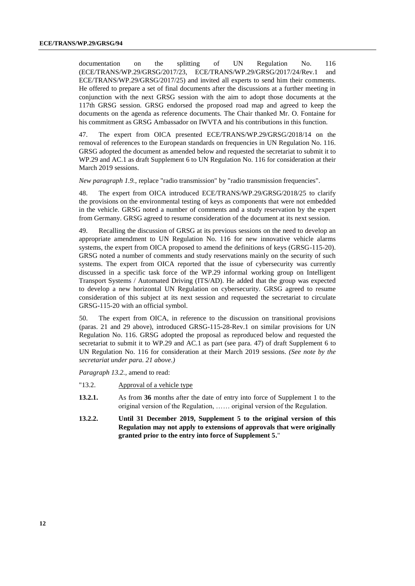documentation on the splitting of UN Regulation No. 116 (ECE/TRANS/WP.29/GRSG/2017/23, ECE/TRANS/WP.29/GRSG/2017/24/Rev.1 and ECE/TRANS/WP.29/GRSG/2017/25) and invited all experts to send him their comments. He offered to prepare a set of final documents after the discussions at a further meeting in conjunction with the next GRSG session with the aim to adopt those documents at the 117th GRSG session. GRSG endorsed the proposed road map and agreed to keep the documents on the agenda as reference documents. The Chair thanked Mr. O. Fontaine for his commitment as GRSG Ambassador on IWVTA and his contributions in this function.

47. The expert from OICA presented ECE/TRANS/WP.29/GRSG/2018/14 on the removal of references to the European standards on frequencies in UN Regulation No. 116. GRSG adopted the document as amended below and requested the secretariat to submit it to WP.29 and AC.1 as draft Supplement 6 to UN Regulation No. 116 for consideration at their March 2019 sessions.

*New paragraph 1.9.,* replace "radio transmission" by "radio transmission frequencies".

48. The expert from OICA introduced ECE/TRANS/WP.29/GRSG/2018/25 to clarify the provisions on the environmental testing of keys as components that were not embedded in the vehicle. GRSG noted a number of comments and a study reservation by the expert from Germany. GRSG agreed to resume consideration of the document at its next session.

49. Recalling the discussion of GRSG at its previous sessions on the need to develop an appropriate amendment to UN Regulation No. 116 for new innovative vehicle alarms systems, the expert from OICA proposed to amend the definitions of keys (GRSG-115-20). GRSG noted a number of comments and study reservations mainly on the security of such systems. The expert from OICA reported that the issue of cybersecurity was currently discussed in a specific task force of the WP.29 informal working group on Intelligent Transport Systems / Automated Driving (ITS/AD). He added that the group was expected to develop a new horizontal UN Regulation on cybersecurity. GRSG agreed to resume consideration of this subject at its next session and requested the secretariat to circulate GRSG-115-20 with an official symbol.

50. The expert from OICA, in reference to the discussion on transitional provisions (paras. 21 and 29 above), introduced GRSG-115-28-Rev.1 on similar provisions for UN Regulation No. 116. GRSG adopted the proposal as reproduced below and requested the secretariat to submit it to WP.29 and AC.1 as part (see para. 47) of draft Supplement 6 to UN Regulation No. 116 for consideration at their March 2019 sessions. *(See note by the secretariat under para. 21 above.)*

*Paragraph 13.2.,* amend to read:

- "13.2. Approval of a vehicle type
- **13.2.1.** As from **36** months after the date of entry into force of Supplement 1 to the original version of the Regulation, …… original version of the Regulation.
- **13.2.2. Until 31 December 2019, Supplement 5 to the original version of this Regulation may not apply to extensions of approvals that were originally granted prior to the entry into force of Supplement 5.**"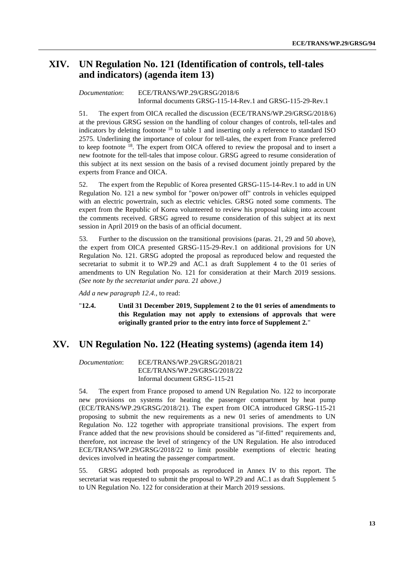### **XIV. UN Regulation No. 121 (Identification of controls, tell-tales and indicators) (agenda item 13)**

#### *Documentation*: ECE/TRANS/WP.29/GRSG/2018/6 Informal documents GRSG-115-14-Rev.1 and GRSG-115-29-Rev.1

51. The expert from OICA recalled the discussion (ECE/TRANS/WP.29/GRSG/2018/6) at the previous GRSG session on the handling of colour changes of controls, tell-tales and indicators by deleting footnote <sup>18</sup> to table 1 and inserting only a reference to standard ISO 2575. Underlining the importance of colour for tell-tales, the expert from France preferred to keep footnote <sup>18</sup>. The expert from OICA offered to review the proposal and to insert a new footnote for the tell-tales that impose colour. GRSG agreed to resume consideration of this subject at its next session on the basis of a revised document jointly prepared by the experts from France and OICA.

52. The expert from the Republic of Korea presented GRSG-115-14-Rev.1 to add in UN Regulation No. 121 a new symbol for "power on/power off" controls in vehicles equipped with an electric powertrain, such as electric vehicles. GRSG noted some comments. The expert from the Republic of Korea volunteered to review his proposal taking into account the comments received. GRSG agreed to resume consideration of this subject at its next session in April 2019 on the basis of an official document.

53. Further to the discussion on the transitional provisions (paras. 21, 29 and 50 above), the expert from OICA presented GRSG-115-29-Rev.1 on additional provisions for UN Regulation No. 121. GRSG adopted the proposal as reproduced below and requested the secretariat to submit it to WP.29 and AC.1 as draft Supplement 4 to the 01 series of amendments to UN Regulation No. 121 for consideration at their March 2019 sessions. *(See note by the secretariat under para. 21 above.)*

*Add a new paragraph 12.4.,* to read:

#### "**12.4. Until 31 December 2019, Supplement 2 to the 01 series of amendments to this Regulation may not apply to extensions of approvals that were originally granted prior to the entry into force of Supplement 2.**"

### **XV. UN Regulation No. 122 (Heating systems) (agenda item 14)**

*Documentation*: ECE/TRANS/WP.29/GRSG/2018/21 ECE/TRANS/WP.29/GRSG/2018/22 Informal document GRSG-115-21

54. The expert from France proposed to amend UN Regulation No. 122 to incorporate new provisions on systems for heating the passenger compartment by heat pump (ECE/TRANS/WP.29/GRSG/2018/21). The expert from OICA introduced GRSG-115-21 proposing to submit the new requirements as a new 01 series of amendments to UN Regulation No. 122 together with appropriate transitional provisions. The expert from France added that the new provisions should be considered as "if-fitted" requirements and, therefore, not increase the level of stringency of the UN Regulation. He also introduced ECE/TRANS/WP.29/GRSG/2018/22 to limit possible exemptions of electric heating devices involved in heating the passenger compartment.

55. GRSG adopted both proposals as reproduced in Annex IV to this report. The secretariat was requested to submit the proposal to WP.29 and AC.1 as draft Supplement 5 to UN Regulation No. 122 for consideration at their March 2019 sessions.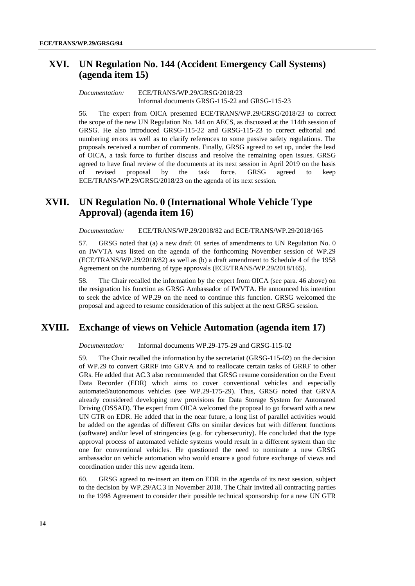### **XVI. UN Regulation No. 144 (Accident Emergency Call Systems) (agenda item 15)**

#### *Documentation:* ECE/TRANS/WP.29/GRSG/2018/23 Informal documents GRSG-115-22 and GRSG-115-23

56. The expert from OICA presented ECE/TRANS/WP.29/GRSG/2018/23 to correct the scope of the new UN Regulation No. 144 on AECS, as discussed at the 114th session of GRSG. He also introduced GRSG-115-22 and GRSG-115-23 to correct editorial and numbering errors as well as to clarify references to some passive safety regulations. The proposals received a number of comments. Finally, GRSG agreed to set up, under the lead of OICA, a task force to further discuss and resolve the remaining open issues. GRSG agreed to have final review of the documents at its next session in April 2019 on the basis of revised proposal by the task force. GRSG agreed to keep ECE/TRANS/WP.29/GRSG/2018/23 on the agenda of its next session.

### **XVII. UN Regulation No. 0 (International Whole Vehicle Type Approval) (agenda item 16)**

*Documentation:* ECE/TRANS/WP.29/2018/82 and ECE/TRANS/WP.29/2018/165

57. GRSG noted that (a) a new draft 01 series of amendments to UN Regulation No. 0 on IWVTA was listed on the agenda of the forthcoming November session of WP.29 (ECE/TRANS/WP.29/2018/82) as well as (b) a draft amendment to Schedule 4 of the 1958 Agreement on the numbering of type approvals (ECE/TRANS/WP.29/2018/165).

58. The Chair recalled the information by the expert from OICA (see para. 46 above) on the resignation his function as GRSG Ambassador of IWVTA. He announced his intention to seek the advice of WP.29 on the need to continue this function. GRSG welcomed the proposal and agreed to resume consideration of this subject at the next GRSG session.

### **XVIII. Exchange of views on Vehicle Automation (agenda item 17)**

*Documentation:* Informal documents WP.29-175-29 and GRSG-115-02

59. The Chair recalled the information by the secretariat (GRSG-115-02) on the decision of WP.29 to convert GRRF into GRVA and to reallocate certain tasks of GRRF to other GRs. He added that AC.3 also recommended that GRSG resume consideration on the Event Data Recorder (EDR) which aims to cover conventional vehicles and especially automated/autonomous vehicles (see WP.29-175-29). Thus, GRSG noted that GRVA already considered developing new provisions for Data Storage System for Automated Driving (DSSAD). The expert from OICA welcomed the proposal to go forward with a new UN GTR on EDR. He added that in the near future, a long list of parallel activities would be added on the agendas of different GRs on similar devices but with different functions (software) and/or level of stringencies (e.g. for cybersecurity). He concluded that the type approval process of automated vehicle systems would result in a different system than the one for conventional vehicles. He questioned the need to nominate a new GRSG ambassador on vehicle automation who would ensure a good future exchange of views and coordination under this new agenda item.

60. GRSG agreed to re-insert an item on EDR in the agenda of its next session, subject to the decision by WP.29/AC.3 in November 2018. The Chair invited all contracting parties to the 1998 Agreement to consider their possible technical sponsorship for a new UN GTR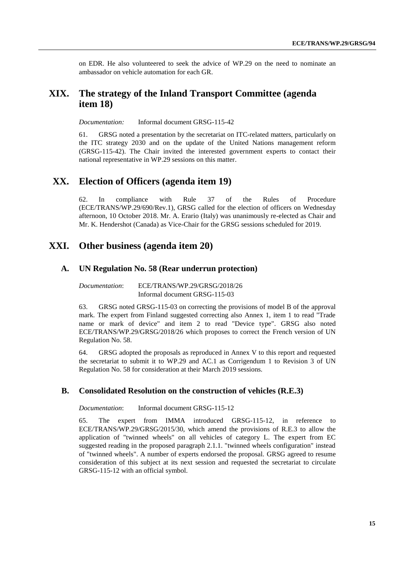on EDR. He also volunteered to seek the advice of WP.29 on the need to nominate an ambassador on vehicle automation for each GR.

### **XIX. The strategy of the Inland Transport Committee (agenda item 18)**

*Documentation:* Informal document GRSG-115-42

61. GRSG noted a presentation by the secretariat on ITC-related matters, particularly on the ITC strategy 2030 and on the update of the United Nations management reform (GRSG-115-42). The Chair invited the interested government experts to contact their national representative in WP.29 sessions on this matter.

### **XX. Election of Officers (agenda item 19)**

62. In compliance with Rule 37 of the Rules of Procedure (ECE/TRANS/WP.29/690/Rev.1), GRSG called for the election of officers on Wednesday afternoon, 10 October 2018. Mr. A. Erario (Italy) was unanimously re-elected as Chair and Mr. K. Hendershot (Canada) as Vice-Chair for the GRSG sessions scheduled for 2019.

### **XXI. Other business (agenda item 20)**

#### **A. UN Regulation No. 58 (Rear underrun protection)**

*Documentation*: ECE/TRANS/WP.29/GRSG/2018/26 Informal document GRSG-115-03

63. GRSG noted GRSG-115-03 on correcting the provisions of model B of the approval mark. The expert from Finland suggested correcting also Annex 1, item 1 to read "Trade name or mark of device" and item 2 to read "Device type". GRSG also noted ECE/TRANS/WP.29/GRSG/2018/26 which proposes to correct the French version of UN Regulation No. 58.

64. GRSG adopted the proposals as reproduced in Annex V to this report and requested the secretariat to submit it to WP.29 and AC.1 as Corrigendum 1 to Revision 3 of UN Regulation No. 58 for consideration at their March 2019 sessions.

#### **B. Consolidated Resolution on the construction of vehicles (R.E.3)**

*Documentation*: Informal document GRSG-115-12

65. The expert from IMMA introduced GRSG-115-12, in reference to ECE/TRANS/WP.29/GRSG/2015/30, which amend the provisions of R.E.3 to allow the application of "twinned wheels" on all vehicles of category L. The expert from EC suggested reading in the proposed paragraph 2.1.1. "twinned wheels configuration" instead of "twinned wheels". A number of experts endorsed the proposal. GRSG agreed to resume consideration of this subject at its next session and requested the secretariat to circulate GRSG-115-12 with an official symbol.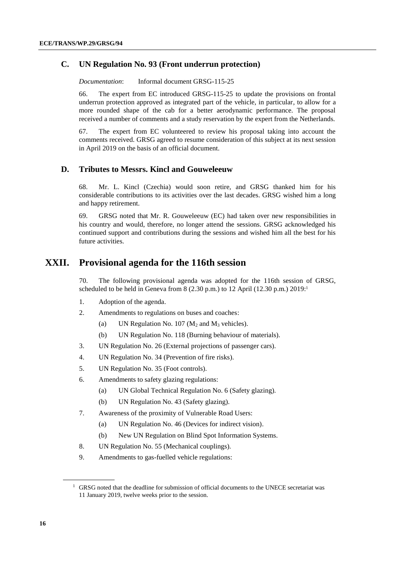#### **C. UN Regulation No. 93 (Front underrun protection)**

*Documentation*: Informal document GRSG-115-25

66. The expert from EC introduced GRSG-115-25 to update the provisions on frontal underrun protection approved as integrated part of the vehicle, in particular, to allow for a more rounded shape of the cab for a better aerodynamic performance. The proposal received a number of comments and a study reservation by the expert from the Netherlands.

67. The expert from EC volunteered to review his proposal taking into account the comments received. GRSG agreed to resume consideration of this subject at its next session in April 2019 on the basis of an official document.

#### **D. Tributes to Messrs. Kincl and Gouweleeuw**

68. Mr. L. Kincl (Czechia) would soon retire, and GRSG thanked him for his considerable contributions to its activities over the last decades. GRSG wished him a long and happy retirement.

69. GRSG noted that Mr. R. Gouweleeuw (EC) had taken over new responsibilities in his country and would, therefore, no longer attend the sessions. GRSG acknowledged his continued support and contributions during the sessions and wished him all the best for his future activities.

### **XXII. Provisional agenda for the 116th session**

70. The following provisional agenda was adopted for the 116th session of GRSG, scheduled to be held in Geneva from 8 (2.30 p.m.) to 12 April (12.30 p.m.) 2019:<sup>1</sup>

- 1. Adoption of the agenda.
- 2. Amendments to regulations on buses and coaches:
	- (a) UN Regulation No. 107 ( $M_2$  and  $M_3$  vehicles).
	- (b) UN Regulation No. 118 (Burning behaviour of materials).
- 3. UN Regulation No. 26 (External projections of passenger cars).
- 4. UN Regulation No. 34 (Prevention of fire risks).
- 5. UN Regulation No. 35 (Foot controls).
- 6. Amendments to safety glazing regulations:
	- (a) UN Global Technical Regulation No. 6 (Safety glazing).
	- (b) UN Regulation No. 43 (Safety glazing).
- 7. Awareness of the proximity of Vulnerable Road Users:
	- (a) UN Regulation No. 46 (Devices for indirect vision).
	- (b) New UN Regulation on Blind Spot Information Systems.
- 8. UN Regulation No. 55 (Mechanical couplings).
- 9. Amendments to gas-fuelled vehicle regulations:

<sup>&</sup>lt;sup>1</sup> GRSG noted that the deadline for submission of official documents to the UNECE secretariat was 11 January 2019, twelve weeks prior to the session.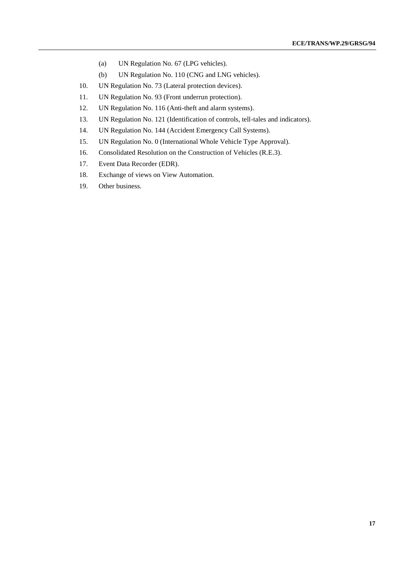- (a) UN Regulation No. 67 (LPG vehicles).
- (b) UN Regulation No. 110 (CNG and LNG vehicles).
- 10. UN Regulation No. 73 (Lateral protection devices).
- 11. UN Regulation No. 93 (Front underrun protection).
- 12. UN Regulation No. 116 (Anti-theft and alarm systems).
- 13. UN Regulation No. 121 (Identification of controls, tell-tales and indicators).
- 14. UN Regulation No. 144 (Accident Emergency Call Systems).
- 15. UN Regulation No. 0 (International Whole Vehicle Type Approval).
- 16. Consolidated Resolution on the Construction of Vehicles (R.E.3).
- 17. Event Data Recorder (EDR).
- 18. Exchange of views on View Automation.
- 19. Other business.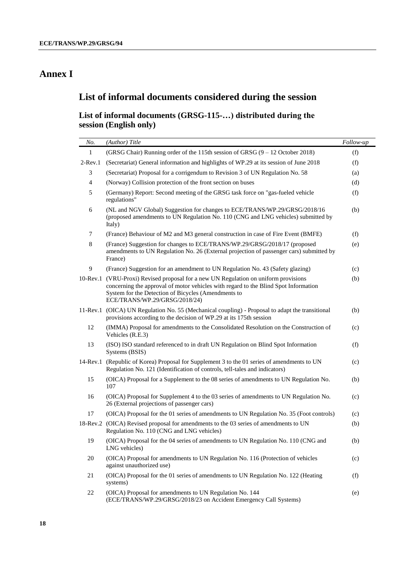## **Annex I**

## **List of informal documents considered during the session**

### **List of informal documents (GRSG-115-…) distributed during the session (English only)**

| No.         | (Author) Title                                                                                                                                                                                                                                            | Follow-up |
|-------------|-----------------------------------------------------------------------------------------------------------------------------------------------------------------------------------------------------------------------------------------------------------|-----------|
| 1           | (GRSG Chair) Running order of the 115th session of GRSG (9 – 12 October 2018)                                                                                                                                                                             | (f)       |
| $2$ -Rev.1  | (Secretariat) General information and highlights of WP.29 at its session of June 2018                                                                                                                                                                     | (f)       |
| 3           | (Secretariat) Proposal for a corrigendum to Revision 3 of UN Regulation No. 58                                                                                                                                                                            | (a)       |
| 4           | (Norway) Collision protection of the front section on buses                                                                                                                                                                                               | (d)       |
| 5           | (Germany) Report: Second meeting of the GRSG task force on "gas-fueled vehicle<br>regulations"                                                                                                                                                            | (f)       |
| 6           | (NL and NGV Global) Suggestion for changes to ECE/TRANS/WP.29/GRSG/2018/16<br>(proposed amendments to UN Regulation No. 110 (CNG and LNG vehicles) submitted by<br>Italy)                                                                                 | (b)       |
| 7           | (France) Behaviour of M2 and M3 general construction in case of Fire Event (BMFE)                                                                                                                                                                         | (f)       |
| 8           | (France) Suggestion for changes to ECE/TRANS/WP.29/GRSG/2018/17 (proposed<br>amendments to UN Regulation No. 26 (External projection of passenger cars) submitted by<br>France)                                                                           | (e)       |
| 9           | (France) Suggestion for an amendment to UN Regulation No. 43 (Safety glazing)                                                                                                                                                                             | (c)       |
| $10$ -Rev.1 | (VRU-Proxi) Revised proposal for a new UN Regulation on uniform provisions<br>concerning the approval of motor vehicles with regard to the Blind Spot Information<br>System for the Detection of Bicycles (Amendments to<br>ECE/TRANS/WP.29/GRSG/2018/24) | (b)       |
| 11-Rev.1    | (OICA) UN Regulation No. 55 (Mechanical coupling) - Proposal to adapt the transitional<br>provisions according to the decision of WP.29 at its 175th session                                                                                              | (b)       |
| 12          | (IMMA) Proposal for amendments to the Consolidated Resolution on the Construction of<br>Vehicles (R.E.3)                                                                                                                                                  | (c)       |
| 13          | (ISO) ISO standard referenced to in draft UN Regulation on Blind Spot Information<br>Systems (BSIS)                                                                                                                                                       | (f)       |
| 14-Rev.1    | (Republic of Korea) Proposal for Supplement 3 to the 01 series of amendments to UN<br>Regulation No. 121 (Identification of controls, tell-tales and indicators)                                                                                          | (c)       |
| 15          | (OICA) Proposal for a Supplement to the 08 series of amendments to UN Regulation No.<br>107                                                                                                                                                               | (b)       |
| 16          | (OICA) Proposal for Supplement 4 to the 03 series of amendments to UN Regulation No.<br>26 (External projections of passenger cars)                                                                                                                       | (c)       |
| 17          | (OICA) Proposal for the 01 series of amendments to UN Regulation No. 35 (Foot controls)                                                                                                                                                                   | (c)       |
| 18-Rev.2    | (OICA) Revised proposal for amendments to the 03 series of amendments to UN<br>Regulation No. 110 (CNG and LNG vehicles)                                                                                                                                  | (b)       |
| 19          | (OICA) Proposal for the 04 series of amendments to UN Regulation No. 110 (CNG and<br>LNG vehicles)                                                                                                                                                        | (b)       |
| 20          | (OICA) Proposal for amendments to UN Regulation No. 116 (Protection of vehicles<br>against unauthorized use)                                                                                                                                              | (c)       |
| 21          | (OICA) Proposal for the 01 series of amendments to UN Regulation No. 122 (Heating<br>systems)                                                                                                                                                             | (f)       |
| 22          | (OICA) Proposal for amendments to UN Regulation No. 144<br>(ECE/TRANS/WP.29/GRSG/2018/23 on Accident Emergency Call Systems)                                                                                                                              | (e)       |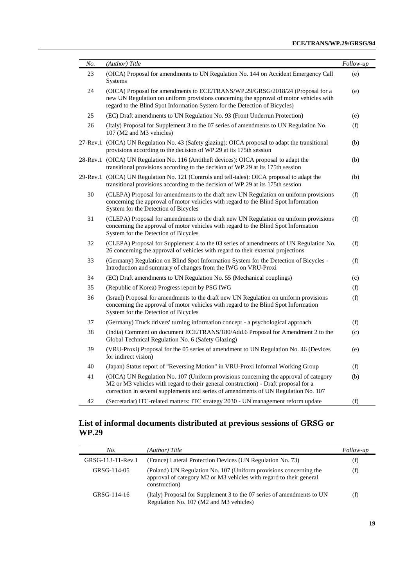| No. | (Author) Title                                                                                                                                                                                                                                                     | Follow-up |
|-----|--------------------------------------------------------------------------------------------------------------------------------------------------------------------------------------------------------------------------------------------------------------------|-----------|
| 23  | (OICA) Proposal for amendments to UN Regulation No. 144 on Accident Emergency Call<br>Systems                                                                                                                                                                      | (e)       |
| 24  | (OICA) Proposal for amendments to ECE/TRANS/WP.29/GRSG/2018/24 (Proposal for a<br>new UN Regulation on uniform provisions concerning the approval of motor vehicles with<br>regard to the Blind Spot Information System for the Detection of Bicycles)             | (e)       |
| 25  | (EC) Draft amendments to UN Regulation No. 93 (Front Underrun Protection)                                                                                                                                                                                          | (e)       |
| 26  | (Italy) Proposal for Supplement 3 to the 07 series of amendments to UN Regulation No.<br>107 (M2 and M3 vehicles)                                                                                                                                                  | (f)       |
|     | 27-Rev.1 (OICA) UN Regulation No. 43 (Safety glazing): OICA proposal to adapt the transitional<br>provisions according to the decision of WP.29 at its 175th session                                                                                               | (b)       |
|     | 28-Rev.1 (OICA) UN Regulation No. 116 (Antitheft devices): OICA proposal to adapt the<br>transitional provisions according to the decision of WP.29 at its 175th session                                                                                           | (b)       |
|     | 29-Rev.1 (OICA) UN Regulation No. 121 (Controls and tell-tales): OICA proposal to adapt the<br>transitional provisions according to the decision of WP.29 at its 175th session                                                                                     | (b)       |
| 30  | (CLEPA) Proposal for amendments to the draft new UN Regulation on uniform provisions<br>concerning the approval of motor vehicles with regard to the Blind Spot Information<br>System for the Detection of Bicycles                                                | (f)       |
| 31  | (CLEPA) Proposal for amendments to the draft new UN Regulation on uniform provisions<br>concerning the approval of motor vehicles with regard to the Blind Spot Information<br>System for the Detection of Bicycles                                                | (f)       |
| 32  | (CLEPA) Proposal for Supplement 4 to the 03 series of amendments of UN Regulation No.<br>26 concerning the approval of vehicles with regard to their external projections                                                                                          | (f)       |
| 33  | (Germany) Regulation on Blind Spot Information System for the Detection of Bicycles -<br>Introduction and summary of changes from the IWG on VRU-Proxi                                                                                                             | (f)       |
| 34  | (EC) Draft amendments to UN Regulation No. 55 (Mechanical couplings)                                                                                                                                                                                               | (c)       |
| 35  | (Republic of Korea) Progress report by PSG IWG                                                                                                                                                                                                                     | (f)       |
| 36  | (Israel) Proposal for amendments to the draft new UN Regulation on uniform provisions<br>concerning the approval of motor vehicles with regard to the Blind Spot Information<br>System for the Detection of Bicycles                                               | (f)       |
| 37  | (Germany) Truck drivers' turning information concept - a psychological approach                                                                                                                                                                                    | (f)       |
| 38  | (India) Comment on document ECE/TRANS/180/Add.6 Proposal for Amendment 2 to the<br>Global Technical Regulation No. 6 (Safety Glazing)                                                                                                                              | (c)       |
| 39  | (VRU-Proxi) Proposal for the 05 series of amendment to UN Regulation No. 46 (Devices<br>for indirect vision)                                                                                                                                                       | (e)       |
| 40  | (Japan) Status report of "Reversing Motion" in VRU-Proxi Informal Working Group                                                                                                                                                                                    | (f)       |
| 41  | (OICA) UN Regulation No. 107 (Uniform provisions concerning the approval of category<br>M2 or M3 vehicles with regard to their general construction) - Draft proposal for a<br>correction in several supplements and series of amendments of UN Regulation No. 107 | (b)       |
| 42  | (Secretariat) ITC-related matters: ITC strategy 2030 - UN management reform update                                                                                                                                                                                 | (f)       |

#### **List of informal documents distributed at previous sessions of GRSG or WP.29**

| No.               | (Author) Title                                                                                                                                            | Follow-up |
|-------------------|-----------------------------------------------------------------------------------------------------------------------------------------------------------|-----------|
| GRSG-113-11-Rev.1 | (France) Lateral Protection Devices (UN Regulation No. 73)                                                                                                | (f)       |
| GRSG-114-05       | (Poland) UN Regulation No. 107 (Uniform provisions concerning the<br>approval of category M2 or M3 vehicles with regard to their general<br>construction) | (f)       |
| GRSG-114-16       | (Italy) Proposal for Supplement 3 to the 07 series of amendments to UN<br>Regulation No. 107 (M2 and M3 vehicles)                                         | (f)       |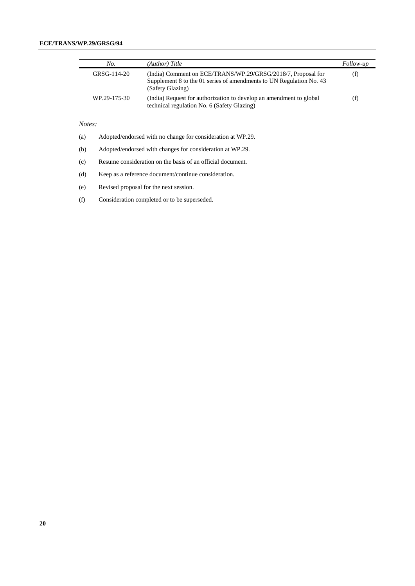#### **ECE/TRANS/WP.29/GRSG/94**

| No.          | (Author) Title                                                                                                                                          | Follow-up |
|--------------|---------------------------------------------------------------------------------------------------------------------------------------------------------|-----------|
| GRSG-114-20  | (India) Comment on ECE/TRANS/WP.29/GRSG/2018/7, Proposal for<br>Supplement 8 to the 01 series of amendments to UN Regulation No. 43<br>(Safety Glazing) | (f)       |
| WP.29-175-30 | (India) Request for authorization to develop an amendment to global<br>technical regulation No. 6 (Safety Glazing)                                      | (f)       |

#### *Notes:*

(a) Adopted/endorsed with no change for consideration at WP.29.

(b) Adopted/endorsed with changes for consideration at WP.29.

(c) Resume consideration on the basis of an official document.

(d) Keep as a reference document/continue consideration.

(e) Revised proposal for the next session.

(f) Consideration completed or to be superseded.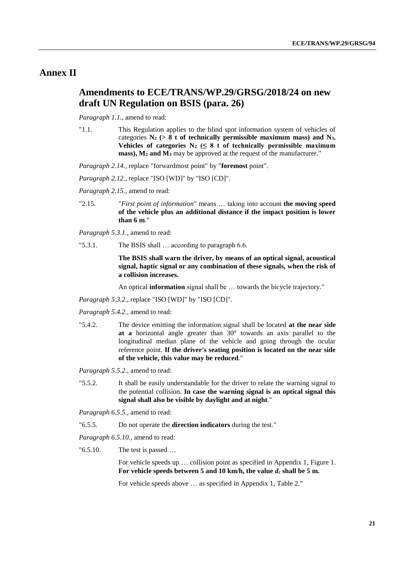### **Annex II**

### **Amendments to ECE/TRANS/WP.29/GRSG/2018/24 on new draft UN Regulation on BSIS (para. 26)**

*Paragraph 1.1.,* amend to read:

"1.1. This Regulation applies to the blind spot information system of vehicles of categories  $N_2$  ( $> 8$  t of technically permissible maximum mass) and  $N_3$ . Vehicles of categories  $N_2 \leq 8$  t of technically permissible maximum **mass), M<sup>2</sup> and M<sup>3</sup>** may be approved at the request of the manufacturer."

*Paragraph 2.14., replace "forwardmost point" by "foremost point".* 

*Paragraph 2.12.,* replace "ISO [WD]" by "ISO [CD]".

*Paragraph 2.15.,* amend to read:

"2.15. "*First point of information*" means … taking into account **the moving speed of the vehicle plus an additional distance if the impact position is lower than 6 m**."

*Paragraph 5.3.1.,* amend to read:

"5.3.1. The BSIS shall … according to paragraph 6.6.

**The BSIS shall warn the driver, by means of an optical signal, acoustical signal, haptic signal or any combination of these signals, when the risk of a collision increases.**

An optical **information** signal shall be … towards the bicycle trajectory."

*Paragraph 5.3.2.,* replace "ISO [WD]" by "ISO [CD]".

*Paragraph 5.4.2.,* amend to read:

"5.4.2. The device emitting the information signal shall be located **at the near side at a** horizontal angle greater than 30° towards an axis parallel to the longitudinal median plane of the vehicle and going through the ocular reference point. **If the driver's seating position is located on the near side of the vehicle, this value may be reduced**."

*Paragraph 5.5.2.,* amend to read:

"5.5.2. It shall be easily understandable for the driver to relate the warning signal to the potential collision. **In case the warning signal is an optical signal this signal shall also be visible by daylight and at night**."

*Paragraph 6.5.5.,* amend to read:

"6.5.5. Do not operate the **direction indicators** during the test."

*Paragraph 6.5.10.,* amend to read:

"6.5.10. The test is passed …

For vehicle speeds up … collision point as specified in Appendix 1, Figure 1. For vehicle speeds between 5 and 10 km/h, the value  $d_c$  shall be 5 m.

For vehicle speeds above … as specified in Appendix 1, Table 2."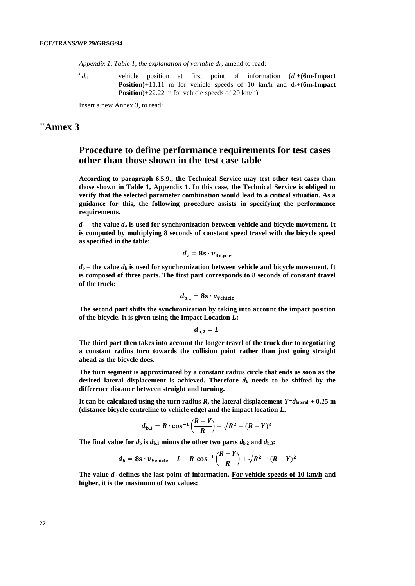*Appendix 1, Table 1, the explanation of variable d<sub>d</sub>, amend to read:* 

"*d*<sup>d</sup> vehicle position at first point of information (*d*c**+(6m-Impact Position**)+11.11 m for vehicle speeds of 10 km/h and  $d_c+(6m-Impack)$ **Position)+**22.22 m for vehicle speeds of 20 km/h)"

Insert a new Annex 3, to read:

#### **"Annex 3**

### **Procedure to define performance requirements for test cases other than those shown in the test case table**

**According to paragraph 6.5.9., the Technical Service may test other test cases than those shown in Table 1, Appendix 1. In this case, the Technical Service is obliged to verify that the selected parameter combination would lead to a critical situation. As a guidance for this, the following procedure assists in specifying the performance requirements.**

 $d_a$  – the value  $d_a$  is used for synchronization between vehicle and bicycle movement. It **is computed by multiplying 8 seconds of constant speed travel with the bicycle speed as specified in the table:**

$$
d_{\rm a}=8{\rm s}\cdot v_{\rm Bicycle}
$$

 $d_b$  – the value  $d_b$  is used for synchronization between vehicle and bicycle movement. It **is composed of three parts. The first part corresponds to 8 seconds of constant travel of the truck:** 

$$
d_{\rm b,1}=8s\cdot v_{\rm Vehicle}
$$

**The second part shifts the synchronization by taking into account the impact position of the bicycle. It is given using the Impact Location** *L***:**

$$
d_{\mathrm{b},2}=L
$$

**The third part then takes into account the longer travel of the truck due to negotiating a constant radius turn towards the collision point rather than just going straight ahead as the bicycle does.**

**The turn segment is approximated by a constant radius circle that ends as soon as the**  desired lateral displacement is achieved. Therefore  $d<sub>b</sub>$  needs to be shifted by the **difference distance between straight and turning.**

It can be calculated using the turn radius  $R$ , the lateral displacement  $Y=d_{\text{lateral}} + 0.25$  m **(distance bicycle centreline to vehicle edge) and the impact location** *L***.**

$$
d_{b,3} = R \cdot \cos^{-1} \left( \frac{R - Y}{R} \right) - \sqrt{R^2 - (R - Y)^2}
$$

The final value for  $d_b$  is  $d_{b,1}$  minus the other two parts  $d_{b,2}$  and  $d_{b,3}$ :

$$
d_b = 8s \cdot \nu_{\text{Vehicle}} - L - R \cos^{-1}\left(\frac{R-Y}{R}\right) + \sqrt{R^2 - (R-Y)^2}
$$

**The value** *d***<sup>c</sup> defines the last point of information. For vehicle speeds of 10 km/h and higher, it is the maximum of two values:**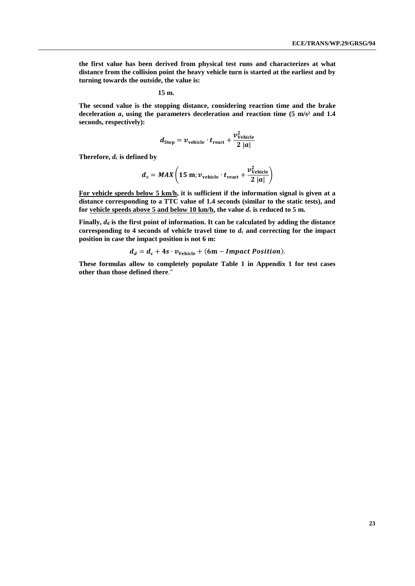**the first value has been derived from physical test runs and characterizes at what distance from the collision point the heavy vehicle turn is started at the earliest and by turning towards the outside, the value is:**

$$
15 \text{ m.}
$$

**The second value is the stopping distance, considering reaction time and the brake deceleration** *a***, using the parameters deceleration and reaction time (5 m/s² and 1.4 seconds, respectively):**

$$
d_{\text{Stop}} = v_{\text{vehicle}} \cdot t_{\text{react}} + \frac{v_{\text{Vehicle}}^2}{2 |a|}
$$

**Therefore,** *d***<sup>c</sup> is defined by**

$$
d_{c} = MAX\left(15 \text{ m}; \nu_{\text{vehicle}} \cdot t_{\text{react}} + \frac{\nu_{\text{Vehicle}}^{2}}{2|a|}\right)
$$

**For vehicle speeds below 5 km/h, it is sufficient if the information signal is given at a distance corresponding to a TTC value of 1.4 seconds (similar to the static tests), and**  for vehicle speeds above 5 and below 10 km/h, the value  $d_c$  is reduced to 5 m.

**Finally,**  $d_d$  **is the first point of information. It can be calculated by adding the distance** corresponding to 4 seconds of vehicle travel time to  $d_c$  and correcting for the impact **position in case the impact position is not 6 m:**

$$
d_d = d_c + 4s \cdot v_{\text{Vehicle}} + (6m - Impact Position).
$$

**These formulas allow to completely populate Table 1 in Appendix 1 for test cases other than those defined there**."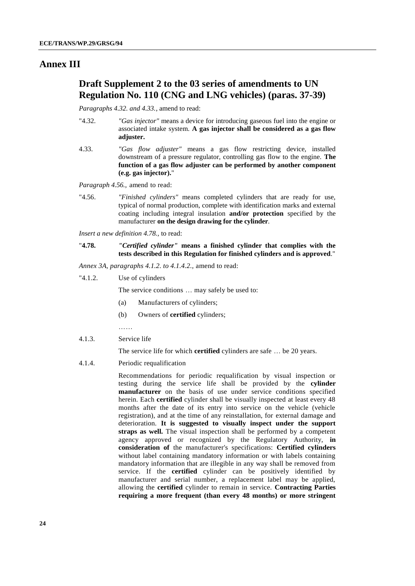#### **Annex III**

### **Draft Supplement 2 to the 03 series of amendments to UN Regulation No. 110 (CNG and LNG vehicles) (paras. 37-39)**

*Paragraphs 4.32. and 4.33.*, amend to read:

- "4.32. *"Gas injector"* means a device for introducing gaseous fuel into the engine or associated intake system. **A gas injector shall be considered as a gas flow adjuster.**
- 4.33. *"Gas flow adjuster"* means a gas flow restricting device, installed downstream of a pressure regulator, controlling gas flow to the engine. **The function of a gas flow adjuster can be performed by another component (e.g. gas injector).**"

*Paragraph 4.56.*, amend to read:

"4.56. *"Finished cylinders"* means completed cylinders that are ready for use, typical of normal production, complete with identification marks and external coating including integral insulation **and/or protection** specified by the manufacturer **on the design drawing for the cylinder**.

*Insert a new definition 4.78.,* to read:

- "**4.78.** *"Certified cylinder"* **means a finished cylinder that complies with the tests described in this Regulation for finished cylinders and is approved**."
- *Annex 3A, paragraphs 4.1.2. to 4.1.4.2.,* amend to read:
- "4.1.2. Use of cylinders

The service conditions … may safely be used to:

- (a) Manufacturers of cylinders;
- (b) Owners of **certified** cylinders;
- 
- 4.1.3. Service life

The service life for which **certified** cylinders are safe … be 20 years.

4.1.4. Periodic requalification

Recommendations for periodic requalification by visual inspection or testing during the service life shall be provided by the **cylinder manufacturer** on the basis of use under service conditions specified herein. Each **certified** cylinder shall be visually inspected at least every 48 months after the date of its entry into service on the vehicle (vehicle registration), and at the time of any reinstallation, for external damage and deterioration. **It is suggested to visually inspect under the support straps as well.** The visual inspection shall be performed by a competent agency approved or recognized by the Regulatory Authority, **in consideration of** the manufacturer's specifications: **Certified cylinders** without label containing mandatory information or with labels containing mandatory information that are illegible in any way shall be removed from service. If the **certified** cylinder can be positively identified by manufacturer and serial number, a replacement label may be applied, allowing the **certified** cylinder to remain in service. **Contracting Parties requiring a more frequent (than every 48 months) or more stringent**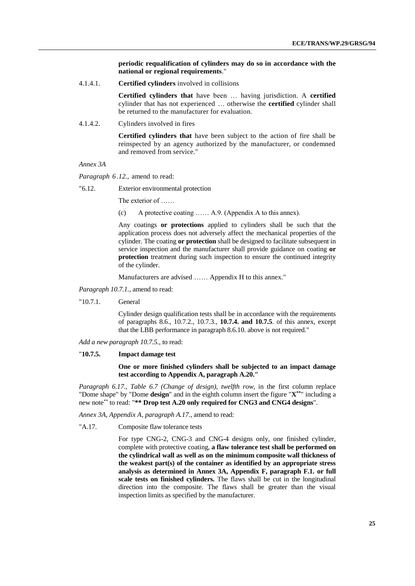**periodic requalification of cylinders may do so in accordance with the national or regional requirements**."

4.1.4.1. **Certified cylinders** involved in collisions

**Certified cylinders that** have been … having jurisdiction. A **certified** cylinder that has not experienced … otherwise the **certified** cylinder shall be returned to the manufacturer for evaluation.

4.1.4.2. Cylinders involved in fires

**Certified cylinders that** have been subject to the action of fire shall be reinspected by an agency authorized by the manufacturer, or condemned and removed from service."

*Annex 3A*

*Paragraph 6 .12.,* amend to read:

"6.12. Exterior environmental protection

The exterior of ……

(c) A protective coating …… A.9. (Appendix A to this annex).

Any coatings **or protections** applied to cylinders shall be such that the application process does not adversely affect the mechanical properties of the cylinder. The coating **or protection** shall be designed to facilitate subsequent in service inspection and the manufacturer shall provide guidance on coating **or protection** treatment during such inspection to ensure the continued integrity of the cylinder.

Manufacturers are advised …… Appendix H to this annex."

- *Paragraph 10.7.1.*, amend to read:
- "10.7.1. General

Cylinder design qualification tests shall be in accordance with the requirements of paragraphs 8.6., 10.7.2., 10.7.3., **10.7.4. and 10.7.5**. of this annex, except that the LBB performance in paragraph 8.6.10. above is not required."

*Add a new paragraph 10.7.5.*, to read:

#### "**10.7.5. Impact damage test**

**One or more finished cylinders shall be subjected to an impact damage test according to Appendix A, paragraph A.20."**

*Paragraph 6.17., Table 6.7 (Change of design), twelfth row*, in the first column replace "Dome shape" by "Dome **design**" and in the eighth column insert the figure "**X\*\*** " including a new note\*\* to read: "**\*\* Drop test A.20 only required for CNG3 and CNG4 designs**".

*Annex 3A, Appendix A, paragraph A.17.*, amend to read:

"A.17. Composite flaw tolerance tests

For type CNG-2, CNG-3 and CNG-4 designs only, one finished cylinder, complete with protective coating, **a flaw tolerance test shall be performed on the cylindrical wall as well as on the minimum composite wall thickness of the weakest part(s) of the container as identified by an appropriate stress analysis as determined in Annex 3A, Appendix F, paragraph F.1. or full scale tests on finished cylinders.** The flaws shall be cut in the longitudinal direction into the composite. The flaws shall be greater than the visual inspection limits as specified by the manufacturer.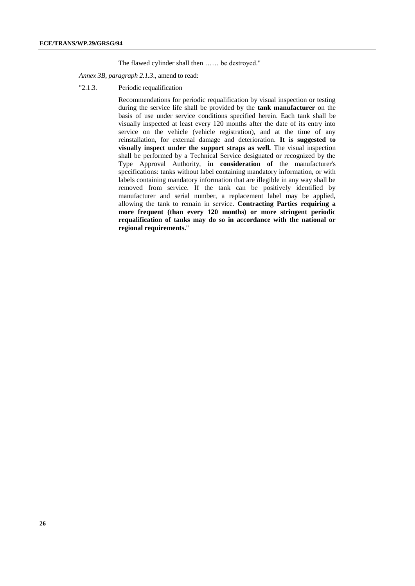The flawed cylinder shall then …… be destroyed."

#### *Annex 3B, paragraph 2.1.3*., amend to read:

"2.1.3. Periodic requalification

Recommendations for periodic requalification by visual inspection or testing during the service life shall be provided by the **tank manufacturer** on the basis of use under service conditions specified herein. Each tank shall be visually inspected at least every 120 months after the date of its entry into service on the vehicle (vehicle registration), and at the time of any reinstallation, for external damage and deterioration. **It is suggested to visually inspect under the support straps as well.** The visual inspection shall be performed by a Technical Service designated or recognized by the Type Approval Authority, **in consideration of** the manufacturer's specifications: tanks without label containing mandatory information, or with labels containing mandatory information that are illegible in any way shall be removed from service. If the tank can be positively identified by manufacturer and serial number, a replacement label may be applied, allowing the tank to remain in service. **Contracting Parties requiring a more frequent (than every 120 months) or more stringent periodic requalification of tanks may do so in accordance with the national or regional requirements.**"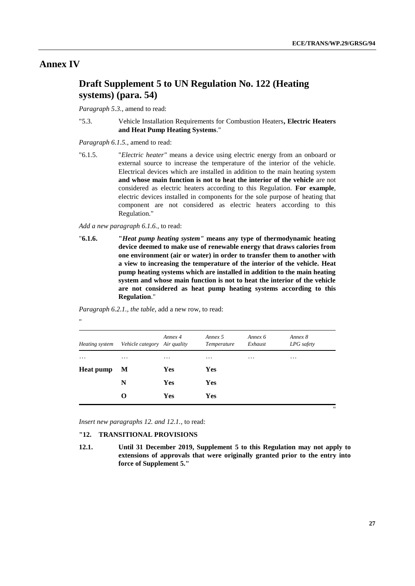### **Annex IV**

### **Draft Supplement 5 to UN Regulation No. 122 (Heating systems) (para. 54)**

*Paragraph 5.3.*, amend to read:

"5.3. Vehicle Installation Requirements for Combustion Heaters**, Electric Heaters and Heat Pump Heating Systems**."

*Paragraph 6.1.5.*, amend to read:

"6.1.5. "*Electric heater"* means a device using electric energy from an onboard or external source to increase the temperature of the interior of the vehicle. Electrical devices which are installed in addition to the main heating system **and whose main function is not to heat the interior of the vehicle** are not considered as electric heaters according to this Regulation. **For example**, electric devices installed in components for the sole purpose of heating that component are not considered as electric heaters according to this Regulation."

*Add a new paragraph 6.1.6.*, to read:

"**6.1.6. "***Heat pump heating system"* **means any type of thermodynamic heating device deemed to make use of renewable energy that draws calories from one environment (air or water) in order to transfer them to another with a view to increasing the temperature of the interior of the vehicle. Heat pump heating systems which are installed in addition to the main heating system and whose main function is not to heat the interior of the vehicle are not considered as heat pump heating systems according to this Regulation**."

*Paragraph 6.2.1., the table*, add a new row, to read:

"

| Heating system   | Vehicle category Air quality | Annex 4    | Annex 5<br>Temperature | Annex 6<br>Exhaust | Annex 8<br>LPG safety |
|------------------|------------------------------|------------|------------------------|--------------------|-----------------------|
| $\cdots$         | $\cdots$                     | $\cdots$   | $\cdots$               | $\cdots$           | $\cdots$              |
| <b>Heat pump</b> | M                            | <b>Yes</b> | <b>Yes</b>             |                    |                       |
|                  | N                            | Yes        | <b>Yes</b>             |                    |                       |
|                  | $\Omega$                     | Yes        | <b>Yes</b>             |                    |                       |

*Insert new paragraphs 12. and 12.1.*, to read:

#### **"12. TRANSITIONAL PROVISIONS**

**12.1. Until 31 December 2019, Supplement 5 to this Regulation may not apply to extensions of approvals that were originally granted prior to the entry into force of Supplement 5."**

"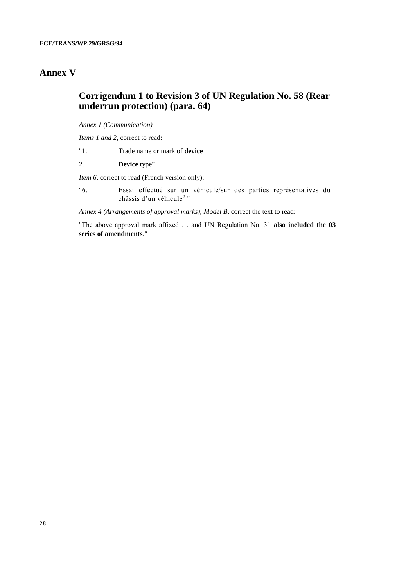### **Annex V**

### **Corrigendum 1 to Revision 3 of UN Regulation No. 58 (Rear underrun protection) (para. 64)**

*Annex 1 (Communication)*

*Items 1 and 2*, correct to read:

- "1. Trade name or mark of **device**
- 2*.* **Device** type"

*Item 6,* correct to read (French version only):

"6. Essai effectué sur un véhicule/sur des parties représentatives du châssis d'un véhicule<sup>2</sup> "

*Annex 4 (Arrangements of approval marks), Model B*, correct the text to read:

"The above approval mark affixed … and UN Regulation No. 31 **also included the 03 series of amendments**."